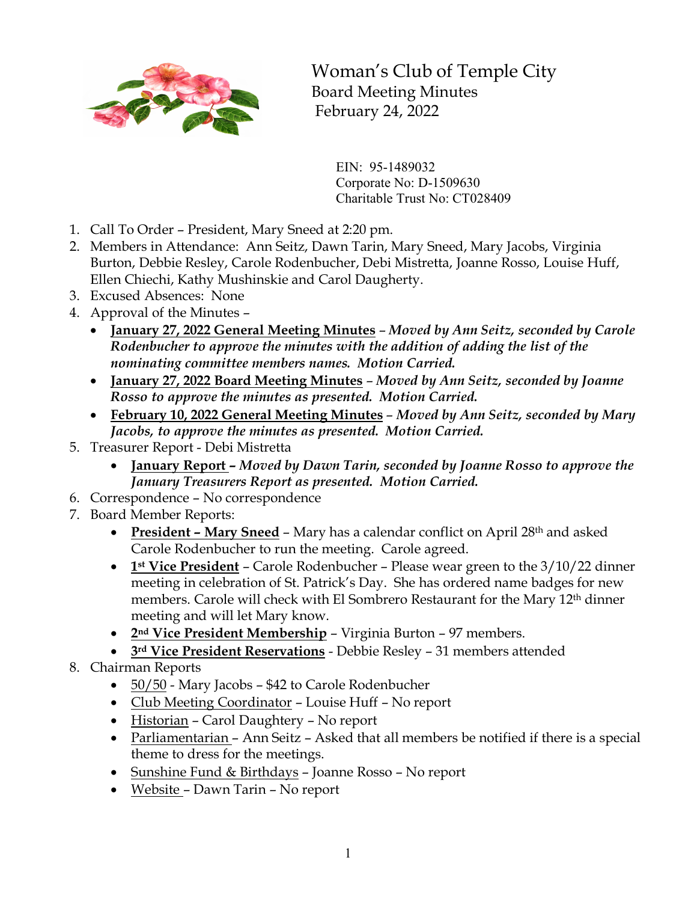

Woman's Club of Temple City Board Meeting Minutes February 24, 2022

EIN: 95-1489032 Corporate No: D-1509630 Charitable Trust No: CT028409

- 1. Call To Order President, Mary Sneed at 2:20 pm.
- 2. Members in Attendance: Ann Seitz, Dawn Tarin, Mary Sneed, Mary Jacobs, Virginia Burton, Debbie Resley, Carole Rodenbucher, Debi Mistretta, Joanne Rosso, Louise Huff, Ellen Chiechi, Kathy Mushinskie and Carol Daugherty.
- 3. Excused Absences: None
- 4. Approval of the Minutes
	- **January 27, 2022 General Meeting Minutes** *Moved by Ann Seitz, seconded by Carole Rodenbucher to approve the minutes with the addition of adding the list of the nominating committee members names. Motion Carried.*
	- **January 27, 2022 Board Meeting Minutes** *Moved by Ann Seitz, seconded by Joanne Rosso to approve the minutes as presented. Motion Carried.*
	- **February 10, 2022 General Meeting Minutes** *Moved by Ann Seitz, seconded by Mary Jacobs, to approve the minutes as presented. Motion Carried.*
- 5. Treasurer Report Debi Mistretta
	- **January Report –** *Moved by Dawn Tarin, seconded by Joanne Rosso to approve the January Treasurers Report as presented. Motion Carried.*
- 6. Correspondence No correspondence
- 7. Board Member Reports:
	- **President – Mary Sneed** Mary has a calendar conflict on April 28th and asked Carole Rodenbucher to run the meeting. Carole agreed.
	- **1st Vice President** Carole Rodenbucher Please wear green to the 3/10/22 dinner meeting in celebration of St. Patrick's Day. She has ordered name badges for new members. Carole will check with El Sombrero Restaurant for the Mary 12<sup>th</sup> dinner meeting and will let Mary know.
	- **2nd Vice President Membership** Virginia Burton 97 members.
	- **3rd Vice President Reservations** Debbie Resley 31 members attended
- 8. Chairman Reports
	- 50/50 Mary Jacobs \$42 to Carole Rodenbucher
	- Club Meeting Coordinator Louise Huff No report
	- Historian Carol Daughtery No report
	- Parliamentarian Ann Seitz Asked that all members be notified if there is a special theme to dress for the meetings.
	- Sunshine Fund & Birthdays Joanne Rosso No report
	- Website Dawn Tarin No report